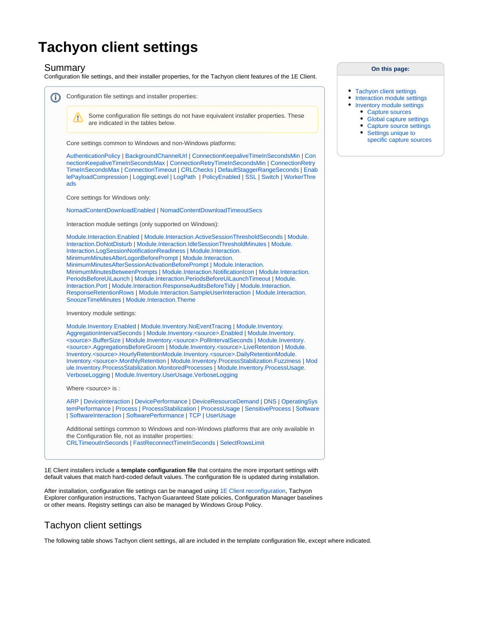# **Tachyon client settings**

#### Summary

Configuration file settings, and their installer properties, for the Tachyon client features of the 1E Client.



1E Client installers include a **template configuration file** that contains the more important settings with default values that match hard-coded default values. The configuration file is updated during installation.

After installation, configuration file settings can be managed using [1E Client reconfiguration,](https://help.1e.com/display/1EC51/1E+Client+command-line+parameters) Tachyon Explorer configuration instructions, Tachyon Guaranteed State policies, Configuration Manager baselines or other means. Registry settings can also be managed by Windows Group Policy.

## Tachyon client settings

The following table shows Tachyon client settings, all are included in the template configuration file, except where indicated.

#### **On this page:**

- [Tachyon client settings](https://help.1e.com/display/1EC51/Tachyon+client+settings#Tachyonclientsettings-Tachyonclientsettings)
- [Interaction module settings](https://help.1e.com/display/1EC51/Tachyon+client+settings#Tachyonclientsettings-Interactionmodulesettings)
	- [Inventory module settings](https://help.1e.com/display/1EC51/Tachyon+client+settings#Tachyonclientsettings-Inventorymodulesettings)
	- [Capture sources](https://help.1e.com/display/1EC51/Tachyon+client+settings#Tachyonclientsettings-Capturesources)
	- [Global capture settings](https://help.1e.com/display/1EC51/Tachyon+client+settings#Tachyonclientsettings-Globalcapturesettings)
	- [Capture source settings](https://help.1e.com/display/1EC51/Tachyon+client+settings#Tachyonclientsettings-Capturesourcesettings) • Settings unique to
	- [specific capture sources](https://help.1e.com/display/1EC51/Tachyon+client+settings#Tachyonclientsettings-HistoricDataUniqueCaptureSourcePropertiesSettingsuniquetospecificcapturesources)

Λ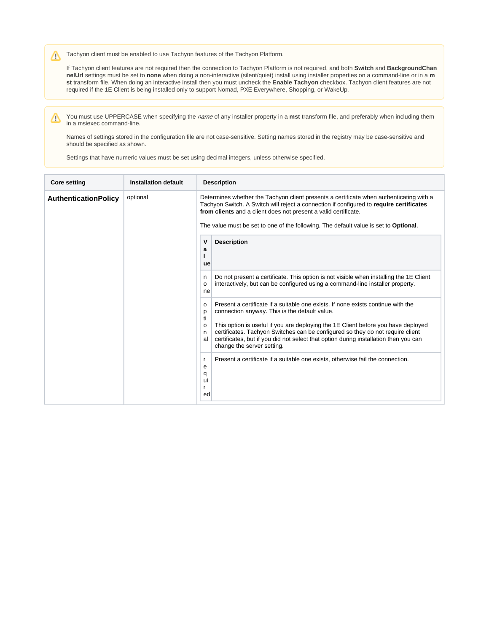Tachyon client must be enabled to use Tachyon features of the Tachyon Platform. Δ

If Tachyon client features are not required then the connection to Tachyon Platform is not required, and both **Switch** and **BackgroundChan nelUrl** settings must be set to **none** when doing a non-interactive (silent/quiet) install using installer properties on a command-line or in a **m st** transform file. When doing an interactive install then you must uncheck the **Enable Tachyon** checkbox. Tachyon client features are not required if the 1E Client is being installed only to support Nomad, PXE Everywhere, Shopping, or WakeUp.

You must use UPPERCASE when specifying the name of any installer property in a mst transform file, and preferably when including them Δ in a msiexec command-line.

Names of settings stored in the configuration file are not case-sensitive. Setting names stored in the registry may be case-sensitive and should be specified as shown.

Settings that have numeric values must be set using decimal integers, unless otherwise specified.

<span id="page-1-0"></span>

| <b>Core setting</b>         | Installation default | <b>Description</b>                                                                                                                                                                                                                                                                                                                                                                                                                                                           |  |  |  |  |
|-----------------------------|----------------------|------------------------------------------------------------------------------------------------------------------------------------------------------------------------------------------------------------------------------------------------------------------------------------------------------------------------------------------------------------------------------------------------------------------------------------------------------------------------------|--|--|--|--|
| <b>AuthenticationPolicy</b> | optional             | Determines whether the Tachyon client presents a certificate when authenticating with a<br>Tachyon Switch. A Switch will reject a connection if configured to require certificates<br>from clients and a client does not present a valid certificate.<br>The value must be set to one of the following. The default value is set to Optional.                                                                                                                                |  |  |  |  |
|                             |                      | v<br><b>Description</b><br>a<br>ue                                                                                                                                                                                                                                                                                                                                                                                                                                           |  |  |  |  |
|                             |                      | Do not present a certificate. This option is not visible when installing the 1E Client<br>n<br>interactively, but can be configured using a command-line installer property.<br>o<br>ne                                                                                                                                                                                                                                                                                      |  |  |  |  |
|                             |                      | Present a certificate if a suitable one exists. If none exists continue with the<br>$\Omega$<br>connection anyway. This is the default value.<br>p<br>ti<br>This option is useful if you are deploying the 1E Client before you have deployed<br>$\Omega$<br>certificates. Tachyon Switches can be configured so they do not require client<br>n<br>certificates, but if you did not select that option during installation then you can<br>al<br>change the server setting. |  |  |  |  |
|                             |                      | Present a certificate if a suitable one exists, otherwise fail the connection.<br>r<br>е<br>q<br>ui<br>r<br>ed                                                                                                                                                                                                                                                                                                                                                               |  |  |  |  |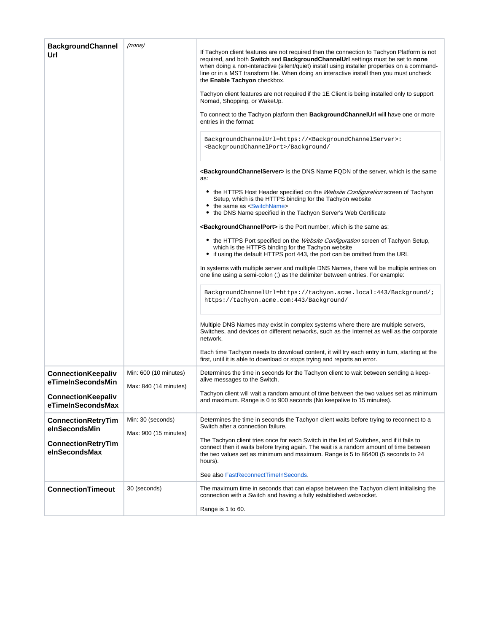<span id="page-2-1"></span><span id="page-2-0"></span>

| <b>BackgroundChannel</b><br>Url                | (none)                | If Tachyon client features are not required then the connection to Tachyon Platform is not<br>required, and both Switch and BackgroundChannelUrl settings must be set to none<br>when doing a non-interactive (silent/quiet) install using installer properties on a command-<br>line or in a MST transform file. When doing an interactive install then you must uncheck<br>the Enable Tachyon checkbox.<br>Tachyon client features are not required if the 1E Client is being installed only to support<br>Nomad, Shopping, or WakeUp.<br>To connect to the Tachyon platform then <b>BackgroundChannelUrl</b> will have one or more<br>entries in the format:<br>BackgroundChannelUrl=https:// <backgroundchannelserver>:<br/><backgroundchannelport>/Background/<br/><b><backgroundchannelserver></backgroundchannelserver></b> is the DNS Name FQDN of the server, which is the same<br/>as:<br/>• the HTTPS Host Header specified on the <i>Website Configuration</i> screen of Tachyon<br/>Setup, which is the HTTPS binding for the Tachyon website<br/>• the same as <switchname><br/>the DNS Name specified in the Tachyon Server's Web Certificate<br/>٠<br/><backgroundchannelport> is the Port number, which is the same as:<br/>• the HTTPS Port specified on the Website Configuration screen of Tachyon Setup,<br/>which is the HTTPS binding for the Tachyon website<br/>• if using the default HTTPS port 443, the port can be omitted from the URL<br/>In systems with multiple server and multiple DNS Names, there will be multiple entries on<br/>one line using a semi-colon (;) as the delimiter between entries. For example:<br/>BackgroundChannelUrl=https://tachyon.acme.local:443/Background/;<br/>https://tachyon.acme.com:443/Background/<br/>Multiple DNS Names may exist in complex systems where there are multiple servers,<br/>Switches, and devices on different networks, such as the Internet as well as the corporate<br/>network.<br/>Each time Tachyon needs to download content, it will try each entry in turn, starting at the</backgroundchannelport></switchname></backgroundchannelport></backgroundchannelserver> |
|------------------------------------------------|-----------------------|-------------------------------------------------------------------------------------------------------------------------------------------------------------------------------------------------------------------------------------------------------------------------------------------------------------------------------------------------------------------------------------------------------------------------------------------------------------------------------------------------------------------------------------------------------------------------------------------------------------------------------------------------------------------------------------------------------------------------------------------------------------------------------------------------------------------------------------------------------------------------------------------------------------------------------------------------------------------------------------------------------------------------------------------------------------------------------------------------------------------------------------------------------------------------------------------------------------------------------------------------------------------------------------------------------------------------------------------------------------------------------------------------------------------------------------------------------------------------------------------------------------------------------------------------------------------------------------------------------------------------------------------------------------------------------------------------------------------------------------------------------------------------------------------------------------------------------------------------------------------------------------------------------------------------------------------------------------------------------------------------------------------------------------------------------------------------------------------------------------------------------------------------------------------|
| <b>ConnectionKeepaliv</b>                      | Min: 600 (10 minutes) | first, until it is able to download or stops trying and reports an error.<br>Determines the time in seconds for the Tachyon client to wait between sending a keep-                                                                                                                                                                                                                                                                                                                                                                                                                                                                                                                                                                                                                                                                                                                                                                                                                                                                                                                                                                                                                                                                                                                                                                                                                                                                                                                                                                                                                                                                                                                                                                                                                                                                                                                                                                                                                                                                                                                                                                                                |
| eTimeInSecondsMin                              | Max: 840 (14 minutes) | alive messages to the Switch.                                                                                                                                                                                                                                                                                                                                                                                                                                                                                                                                                                                                                                                                                                                                                                                                                                                                                                                                                                                                                                                                                                                                                                                                                                                                                                                                                                                                                                                                                                                                                                                                                                                                                                                                                                                                                                                                                                                                                                                                                                                                                                                                     |
| <b>ConnectionKeepaliv</b><br>eTimeInSecondsMax |                       | Tachyon client will wait a random amount of time between the two values set as minimum<br>and maximum. Range is 0 to 900 seconds (No keepalive to 15 minutes).                                                                                                                                                                                                                                                                                                                                                                                                                                                                                                                                                                                                                                                                                                                                                                                                                                                                                                                                                                                                                                                                                                                                                                                                                                                                                                                                                                                                                                                                                                                                                                                                                                                                                                                                                                                                                                                                                                                                                                                                    |
| ConnectionRetryTim<br>eInSecondsMin            | Min: 30 (seconds)     | Determines the time in seconds the Tachyon client waits before trying to reconnect to a<br>Switch after a connection failure.                                                                                                                                                                                                                                                                                                                                                                                                                                                                                                                                                                                                                                                                                                                                                                                                                                                                                                                                                                                                                                                                                                                                                                                                                                                                                                                                                                                                                                                                                                                                                                                                                                                                                                                                                                                                                                                                                                                                                                                                                                     |
|                                                | Max: 900 (15 minutes) | The Tachyon client tries once for each Switch in the list of Switches, and if it fails to                                                                                                                                                                                                                                                                                                                                                                                                                                                                                                                                                                                                                                                                                                                                                                                                                                                                                                                                                                                                                                                                                                                                                                                                                                                                                                                                                                                                                                                                                                                                                                                                                                                                                                                                                                                                                                                                                                                                                                                                                                                                         |
| <b>ConnectionRetryTim</b><br>eInSecondsMax     |                       | connect then it waits before trying again. The wait is a random amount of time between<br>the two values set as minimum and maximum. Range is 5 to 86400 (5 seconds to 24<br>hours).                                                                                                                                                                                                                                                                                                                                                                                                                                                                                                                                                                                                                                                                                                                                                                                                                                                                                                                                                                                                                                                                                                                                                                                                                                                                                                                                                                                                                                                                                                                                                                                                                                                                                                                                                                                                                                                                                                                                                                              |
|                                                |                       | See also FastReconnectTimeInSeconds.                                                                                                                                                                                                                                                                                                                                                                                                                                                                                                                                                                                                                                                                                                                                                                                                                                                                                                                                                                                                                                                                                                                                                                                                                                                                                                                                                                                                                                                                                                                                                                                                                                                                                                                                                                                                                                                                                                                                                                                                                                                                                                                              |
| <b>ConnectionTimeout</b>                       | 30 (seconds)          | The maximum time in seconds that can elapse between the Tachyon client initialising the<br>connection with a Switch and having a fully established websocket.<br>Range is 1 to 60.                                                                                                                                                                                                                                                                                                                                                                                                                                                                                                                                                                                                                                                                                                                                                                                                                                                                                                                                                                                                                                                                                                                                                                                                                                                                                                                                                                                                                                                                                                                                                                                                                                                                                                                                                                                                                                                                                                                                                                                |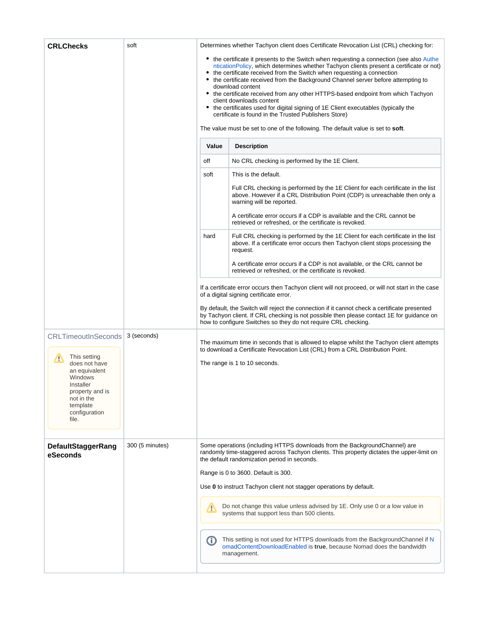| <b>CRLChecks</b>                                                                                                                                                                 | soft            |                                                                                                                                                                                                                                                                                                                                                                                                                                                                                                                                                                                                                                                                                                                              | Determines whether Tachyon client does Certificate Revocation List (CRL) checking for:                                                                                                                                  |  |  |  |  |
|----------------------------------------------------------------------------------------------------------------------------------------------------------------------------------|-----------------|------------------------------------------------------------------------------------------------------------------------------------------------------------------------------------------------------------------------------------------------------------------------------------------------------------------------------------------------------------------------------------------------------------------------------------------------------------------------------------------------------------------------------------------------------------------------------------------------------------------------------------------------------------------------------------------------------------------------------|-------------------------------------------------------------------------------------------------------------------------------------------------------------------------------------------------------------------------|--|--|--|--|
|                                                                                                                                                                                  |                 | • the certificate it presents to the Switch when requesting a connection (see also Authe<br>ntication Policy, which determines whether Tachyon clients present a certificate or not)<br>• the certificate received from the Switch when requesting a connection<br>the certificate received from the Background Channel server before attempting to<br>download content<br>• the certificate received from any other HTTPS-based endpoint from which Tachyon<br>client downloads content<br>• the certificates used for digital signing of 1E Client executables (typically the<br>certificate is found in the Trusted Publishers Store)<br>The value must be set to one of the following. The default value is set to soft. |                                                                                                                                                                                                                         |  |  |  |  |
|                                                                                                                                                                                  |                 | Value                                                                                                                                                                                                                                                                                                                                                                                                                                                                                                                                                                                                                                                                                                                        | <b>Description</b>                                                                                                                                                                                                      |  |  |  |  |
|                                                                                                                                                                                  |                 | off                                                                                                                                                                                                                                                                                                                                                                                                                                                                                                                                                                                                                                                                                                                          | No CRL checking is performed by the 1E Client.                                                                                                                                                                          |  |  |  |  |
|                                                                                                                                                                                  |                 | This is the default.<br>soft                                                                                                                                                                                                                                                                                                                                                                                                                                                                                                                                                                                                                                                                                                 |                                                                                                                                                                                                                         |  |  |  |  |
|                                                                                                                                                                                  |                 |                                                                                                                                                                                                                                                                                                                                                                                                                                                                                                                                                                                                                                                                                                                              | Full CRL checking is performed by the 1E Client for each certificate in the list<br>above. However if a CRL Distribution Point (CDP) is unreachable then only a<br>warning will be reported.                            |  |  |  |  |
|                                                                                                                                                                                  |                 |                                                                                                                                                                                                                                                                                                                                                                                                                                                                                                                                                                                                                                                                                                                              | A certificate error occurs if a CDP is available and the CRL cannot be<br>retrieved or refreshed, or the certificate is revoked.                                                                                        |  |  |  |  |
|                                                                                                                                                                                  |                 | Full CRL checking is performed by the 1E Client for each certificate in the list<br>hard<br>above. If a certificate error occurs then Tachyon client stops processing the<br>request.                                                                                                                                                                                                                                                                                                                                                                                                                                                                                                                                        |                                                                                                                                                                                                                         |  |  |  |  |
|                                                                                                                                                                                  |                 | A certificate error occurs if a CDP is not available, or the CRL cannot be<br>retrieved or refreshed, or the certificate is revoked.                                                                                                                                                                                                                                                                                                                                                                                                                                                                                                                                                                                         |                                                                                                                                                                                                                         |  |  |  |  |
|                                                                                                                                                                                  |                 | If a certificate error occurs then Tachyon client will not proceed, or will not start in the case<br>of a digital signing certificate error.                                                                                                                                                                                                                                                                                                                                                                                                                                                                                                                                                                                 |                                                                                                                                                                                                                         |  |  |  |  |
|                                                                                                                                                                                  |                 | By default, the Switch will reject the connection if it cannot check a certificate presented<br>by Tachyon client. If CRL checking is not possible then please contact 1E for guidance on<br>how to configure Switches so they do not require CRL checking.                                                                                                                                                                                                                                                                                                                                                                                                                                                                  |                                                                                                                                                                                                                         |  |  |  |  |
| <b>CRLTimeoutInSeconds</b><br>This setting<br>Δ<br>does not have<br>an equivalent<br>Windows<br>Installer<br>property and is<br>not in the<br>template<br>configuration<br>file. | 3 (seconds)     |                                                                                                                                                                                                                                                                                                                                                                                                                                                                                                                                                                                                                                                                                                                              | The maximum time in seconds that is allowed to elapse whilst the Tachyon client attempts<br>to download a Certificate Revocation List (CRL) from a CRL Distribution Point.<br>The range is 1 to 10 seconds.             |  |  |  |  |
| DefaultStaggerRang<br>eSeconds                                                                                                                                                   | 300 (5 minutes) |                                                                                                                                                                                                                                                                                                                                                                                                                                                                                                                                                                                                                                                                                                                              | Some operations (including HTTPS downloads from the BackgroundChannel) are<br>randomly time-staggered across Tachyon clients. This property dictates the upper-limit on<br>the default randomization period in seconds. |  |  |  |  |
|                                                                                                                                                                                  |                 |                                                                                                                                                                                                                                                                                                                                                                                                                                                                                                                                                                                                                                                                                                                              | Range is 0 to 3600. Default is 300.                                                                                                                                                                                     |  |  |  |  |
|                                                                                                                                                                                  |                 | Use 0 to instruct Tachyon client not stagger operations by default.<br>Do not change this value unless advised by 1E. Only use 0 or a low value in<br>Λ<br>systems that support less than 500 clients.                                                                                                                                                                                                                                                                                                                                                                                                                                                                                                                       |                                                                                                                                                                                                                         |  |  |  |  |
|                                                                                                                                                                                  |                 |                                                                                                                                                                                                                                                                                                                                                                                                                                                                                                                                                                                                                                                                                                                              |                                                                                                                                                                                                                         |  |  |  |  |
|                                                                                                                                                                                  |                 | This setting is not used for HTTPS downloads from the BackgroundChannel if N<br>O<br>omadContentDownloadEnabled is true, because Nomad does the bandwidth<br>management.                                                                                                                                                                                                                                                                                                                                                                                                                                                                                                                                                     |                                                                                                                                                                                                                         |  |  |  |  |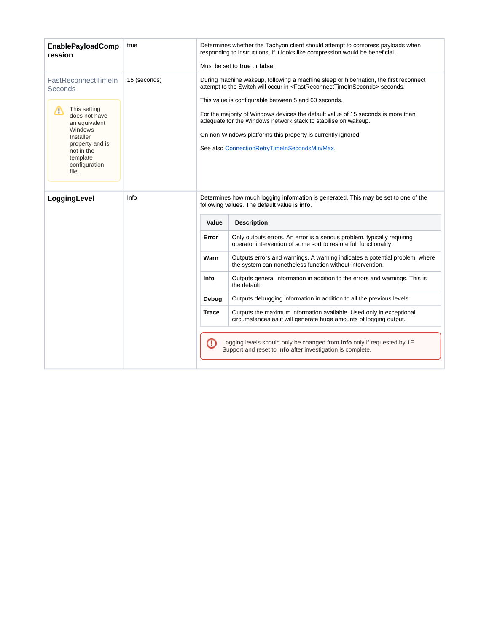<span id="page-4-0"></span>

| <b>EnablePayloadComp</b><br>ression                                                                                                                                                  | true         | Determines whether the Tachyon client should attempt to compress payloads when<br>responding to instructions, if it looks like compression would be beneficial.<br>Must be set to true or false.                                                                                                                                                                                                                                                                                                                                   |                                                                                                                                              |  |  |  |
|--------------------------------------------------------------------------------------------------------------------------------------------------------------------------------------|--------------|------------------------------------------------------------------------------------------------------------------------------------------------------------------------------------------------------------------------------------------------------------------------------------------------------------------------------------------------------------------------------------------------------------------------------------------------------------------------------------------------------------------------------------|----------------------------------------------------------------------------------------------------------------------------------------------|--|--|--|
| FastReconnectTimeIn<br>Seconds<br>This setting<br>Δ<br>does not have<br>an equivalent<br>Windows<br>Installer<br>property and is<br>not in the<br>template<br>configuration<br>file. | 15 (seconds) | During machine wakeup, following a machine sleep or hibernation, the first reconnect<br>attempt to the Switch will occur in <fastreconnecttimeinseconds> seconds.<br/>This value is configurable between 5 and 60 seconds.<br/>For the majority of Windows devices the default value of 15 seconds is more than<br/>adequate for the Windows network stack to stabilise on wakeup.<br/>On non-Windows platforms this property is currently ignored.<br/>See also ConnectionRetryTimeInSecondsMin/Max.</fastreconnecttimeinseconds> |                                                                                                                                              |  |  |  |
| LoggingLevel                                                                                                                                                                         | Info         | Determines how much logging information is generated. This may be set to one of the<br>following values. The default value is info.<br><b>Description</b><br>Value                                                                                                                                                                                                                                                                                                                                                                 |                                                                                                                                              |  |  |  |
|                                                                                                                                                                                      |              | Error                                                                                                                                                                                                                                                                                                                                                                                                                                                                                                                              | Only outputs errors. An error is a serious problem, typically requiring<br>operator intervention of some sort to restore full functionality. |  |  |  |
|                                                                                                                                                                                      |              | Warn                                                                                                                                                                                                                                                                                                                                                                                                                                                                                                                               | Outputs errors and warnings. A warning indicates a potential problem, where<br>the system can nonetheless function without intervention.     |  |  |  |
|                                                                                                                                                                                      |              | Info                                                                                                                                                                                                                                                                                                                                                                                                                                                                                                                               | Outputs general information in addition to the errors and warnings. This is<br>the default.                                                  |  |  |  |
|                                                                                                                                                                                      |              | Outputs debugging information in addition to all the previous levels.<br>Debug                                                                                                                                                                                                                                                                                                                                                                                                                                                     |                                                                                                                                              |  |  |  |
|                                                                                                                                                                                      |              | <b>Trace</b>                                                                                                                                                                                                                                                                                                                                                                                                                                                                                                                       | Outputs the maximum information available. Used only in exceptional<br>circumstances as it will generate huge amounts of logging output.     |  |  |  |
|                                                                                                                                                                                      |              | ⊕                                                                                                                                                                                                                                                                                                                                                                                                                                                                                                                                  | Logging levels should only be changed from info only if requested by 1E<br>Support and reset to info after investigation is complete.        |  |  |  |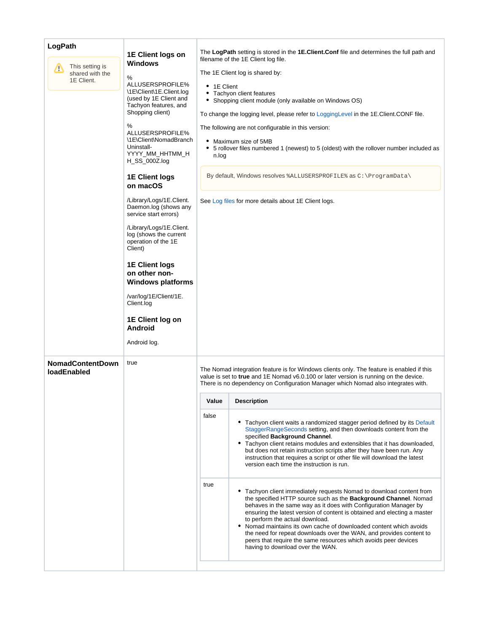<span id="page-5-0"></span>

| LogPath<br>This setting is<br>́∩<br>shared with the<br>1E Client. | 1E Client logs on<br><b>Windows</b><br>%<br>ALLUSERSPROFILE%                                                                                                                                                                                                                                                                                                                                                                                                                                                                                                                        | The LogPath setting is stored in the 1E.Client.Conf file and determines the full path and<br>filename of the 1E Client log file.<br>The 1E Client log is shared by: |                                                                                                                                                                                                                                                                                                                                                                                                                                                                                                                                                                                                                                                                                                                                                                                                                                                                                                                                                                                                                                           |  |  |
|-------------------------------------------------------------------|-------------------------------------------------------------------------------------------------------------------------------------------------------------------------------------------------------------------------------------------------------------------------------------------------------------------------------------------------------------------------------------------------------------------------------------------------------------------------------------------------------------------------------------------------------------------------------------|---------------------------------------------------------------------------------------------------------------------------------------------------------------------|-------------------------------------------------------------------------------------------------------------------------------------------------------------------------------------------------------------------------------------------------------------------------------------------------------------------------------------------------------------------------------------------------------------------------------------------------------------------------------------------------------------------------------------------------------------------------------------------------------------------------------------------------------------------------------------------------------------------------------------------------------------------------------------------------------------------------------------------------------------------------------------------------------------------------------------------------------------------------------------------------------------------------------------------|--|--|
|                                                                   | \1E\Client\1E.Client.log<br>(used by 1E Client and<br>Tachyon features, and<br>Shopping client)<br>%<br>ALLUSERSPROFILE%<br>\1E\Client\NomadBranch<br>Uninstall-<br>YYYY MM HHTMM H<br>H_SS_000Z.log<br><b>1E Client logs</b><br>on macOS<br>/Library/Logs/1E.Client.<br>Daemon.log (shows any<br>service start errors)<br>/Library/Logs/1E.Client.<br>log (shows the current<br>operation of the 1E<br>Client)<br><b>1E Client logs</b><br>on other non-<br><b>Windows platforms</b><br>/var/log/1E/Client/1E.<br>Client.log<br>1E Client log on<br><b>Android</b><br>Android log. | • 1E Client<br>n.log                                                                                                                                                | • Tachyon client features<br>• Shopping client module (only available on Windows OS)<br>To change the logging level, please refer to LoggingLevel in the 1E. Client. CONF file.<br>The following are not configurable in this version:<br>• Maximum size of 5MB<br>• 5 rollover files numbered 1 (newest) to 5 (oldest) with the rollover number included as<br>By default, Windows resolves &ALLUSERSPROFILE & as C: \ProgramData\<br>See Log files for more details about 1E Client logs.                                                                                                                                                                                                                                                                                                                                                                                                                                                                                                                                               |  |  |
| <b>NomadContentDown</b><br><b>loadEnabled</b>                     | true                                                                                                                                                                                                                                                                                                                                                                                                                                                                                                                                                                                |                                                                                                                                                                     | The Nomad integration feature is for Windows clients only. The feature is enabled if this<br>value is set to true and 1E Nomad v6.0.100 or later version is running on the device.<br>There is no dependency on Configuration Manager which Nomad also integrates with.                                                                                                                                                                                                                                                                                                                                                                                                                                                                                                                                                                                                                                                                                                                                                                   |  |  |
|                                                                   |                                                                                                                                                                                                                                                                                                                                                                                                                                                                                                                                                                                     | Value<br>false<br>true                                                                                                                                              | <b>Description</b><br>• Tachyon client waits a randomized stagger period defined by its Default<br>StaggerRangeSeconds setting, and then downloads content from the<br>specified Background Channel.<br>• Tachyon client retains modules and extensibles that it has downloaded,<br>but does not retain instruction scripts after they have been run. Any<br>instruction that requires a script or other file will download the latest<br>version each time the instruction is run.<br>• Tachyon client immediately requests Nomad to download content from<br>the specified HTTP source such as the <b>Background Channel</b> . Nomad<br>behaves in the same way as it does with Configuration Manager by<br>ensuring the latest version of content is obtained and electing a master<br>to perform the actual download.<br>• Nomad maintains its own cache of downloaded content which avoids<br>the need for repeat downloads over the WAN, and provides content to<br>peers that require the same resources which avoids peer devices |  |  |
|                                                                   |                                                                                                                                                                                                                                                                                                                                                                                                                                                                                                                                                                                     |                                                                                                                                                                     | having to download over the WAN.                                                                                                                                                                                                                                                                                                                                                                                                                                                                                                                                                                                                                                                                                                                                                                                                                                                                                                                                                                                                          |  |  |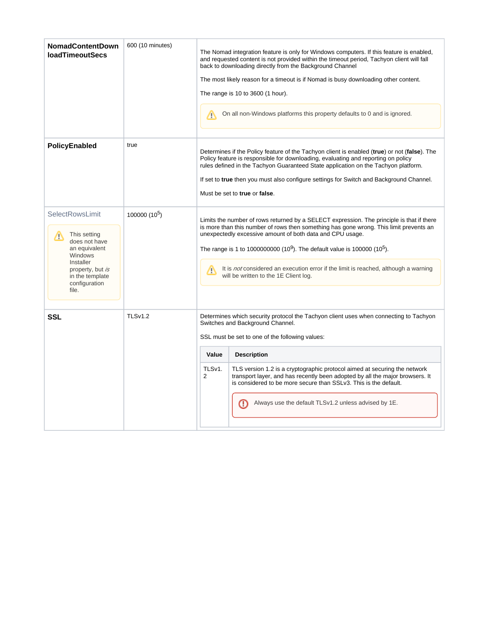| <b>NomadContentDown</b><br><b>loadTimeoutSecs</b>                                                                                                                      | 600 (10 minutes) | The Nomad integration feature is only for Windows computers. If this feature is enabled,<br>and requested content is not provided within the timeout period. Tachyon client will fall<br>back to downloading directly from the Background Channel<br>The most likely reason for a timeout is if Nomad is busy downloading other content.<br>The range is 10 to 3600 (1 hour).<br>On all non-Windows platforms this property defaults to 0 and is ignored.<br>Λ                                   |                                                                                                                                                                                                                                                                                                                                                                                                                                                                                                  |  |  |  |
|------------------------------------------------------------------------------------------------------------------------------------------------------------------------|------------------|--------------------------------------------------------------------------------------------------------------------------------------------------------------------------------------------------------------------------------------------------------------------------------------------------------------------------------------------------------------------------------------------------------------------------------------------------------------------------------------------------|--------------------------------------------------------------------------------------------------------------------------------------------------------------------------------------------------------------------------------------------------------------------------------------------------------------------------------------------------------------------------------------------------------------------------------------------------------------------------------------------------|--|--|--|
| PolicyEnabled                                                                                                                                                          | true             | Determines if the Policy feature of the Tachyon client is enabled (true) or not (false). The<br>Policy feature is responsible for downloading, evaluating and reporting on policy<br>rules defined in the Tachyon Guaranteed State application on the Tachyon platform.<br>If set to true then you must also configure settings for Switch and Background Channel.<br>Must be set to true or false.                                                                                              |                                                                                                                                                                                                                                                                                                                                                                                                                                                                                                  |  |  |  |
| <b>SelectRowsLimit</b><br>This setting<br>W<br>does not have<br>an equivalent<br>Windows<br>Installer<br>property, but is<br>in the template<br>configuration<br>file. | 100000 $(10^5)$  | Limits the number of rows returned by a SELECT expression. The principle is that if there<br>is more than this number of rows then something has gone wrong. This limit prevents an<br>unexpectedly excessive amount of both data and CPU usage.<br>The range is 1 to 1000000000 (10 <sup>9</sup> ). The default value is 100000 (10 <sup>5</sup> ).<br>It is <i>not</i> considered an execution error if the limit is reached, although a warning<br>Λ<br>will be written to the 1E Client log. |                                                                                                                                                                                                                                                                                                                                                                                                                                                                                                  |  |  |  |
| <b>SSL</b>                                                                                                                                                             | TLSv1.2          | Value<br>TLSv1.<br>$\overline{2}$                                                                                                                                                                                                                                                                                                                                                                                                                                                                | Determines which security protocol the Tachyon client uses when connecting to Tachyon<br>Switches and Background Channel.<br>SSL must be set to one of the following values:<br><b>Description</b><br>TLS version 1.2 is a cryptographic protocol aimed at securing the network<br>transport layer, and has recently been adopted by all the major browsers. It<br>is considered to be more secure than SSLv3. This is the default.<br>Always use the default TLSv1.2 unless advised by 1E.<br>œ |  |  |  |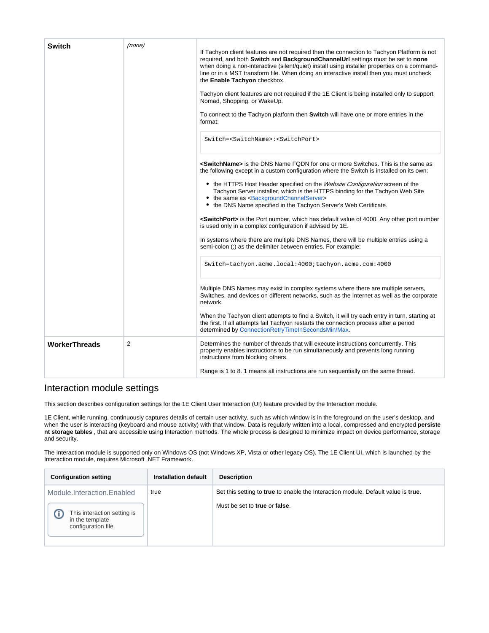<span id="page-7-0"></span>

| <b>Switch</b>        | (none)         | If Tachyon client features are not required then the connection to Tachyon Platform is not<br>required, and both Switch and BackgroundChannelUrl settings must be set to none<br>when doing a non-interactive (silent/quiet) install using installer properties on a command-<br>line or in a MST transform file. When doing an interactive install then you must uncheck<br>the Enable Tachyon checkbox.<br>Tachyon client features are not required if the 1E Client is being installed only to support<br>Nomad, Shopping, or WakeUp.<br>To connect to the Tachyon platform then Switch will have one or more entries in the<br>format:                                                                                                                                                                                                                                                                                |
|----------------------|----------------|---------------------------------------------------------------------------------------------------------------------------------------------------------------------------------------------------------------------------------------------------------------------------------------------------------------------------------------------------------------------------------------------------------------------------------------------------------------------------------------------------------------------------------------------------------------------------------------------------------------------------------------------------------------------------------------------------------------------------------------------------------------------------------------------------------------------------------------------------------------------------------------------------------------------------|
|                      |                | Switch= <switchname>:<switchport><br/><b><switchname></switchname></b> is the DNS Name FQDN for one or more Switches. This is the same as<br/>the following except in a custom configuration where the Switch is installed on its own:<br/>• the HTTPS Host Header specified on the <i>Website Configuration</i> screen of the<br/>Tachyon Server installer, which is the HTTPS binding for the Tachyon Web Site<br/>• the same as <backgroundchannelserver><br/>• the DNS Name specified in the Tachyon Server's Web Certificate.<br/><switchport> is the Port number, which has default value of 4000. Any other port number<br/>is used only in a complex configuration if advised by 1E.<br/>In systems where there are multiple DNS Names, there will be multiple entries using a<br/>semi-colon (;) as the delimiter between entries. For example:</switchport></backgroundchannelserver></switchport></switchname> |
|                      |                | Switch=tachyon.acme.local:4000;tachyon.acme.com:4000<br>Multiple DNS Names may exist in complex systems where there are multiple servers,<br>Switches, and devices on different networks, such as the Internet as well as the corporate<br>network.<br>When the Tachyon client attempts to find a Switch, it will try each entry in turn, starting at<br>the first. If all attempts fail Tachyon restarts the connection process after a period<br>determined by ConnectionRetryTimeInSecondsMin/Max.                                                                                                                                                                                                                                                                                                                                                                                                                     |
| <b>WorkerThreads</b> | $\overline{2}$ | Determines the number of threads that will execute instructions concurrently. This<br>property enables instructions to be run simultaneously and prevents long running<br>instructions from blocking others.<br>Range is 1 to 8. 1 means all instructions are run sequentially on the same thread.                                                                                                                                                                                                                                                                                                                                                                                                                                                                                                                                                                                                                        |

## Interaction module settings

This section describes configuration settings for the 1E Client User Interaction (UI) feature provided by the Interaction module.

1E Client, while running, continuously captures details of certain user activity, such as which window is in the foreground on the user's desktop, and when the user is interacting (keyboard and mouse activity) with that window. Data is regularly written into a local, compressed and encrypted **persiste nt storage tables** , that are accessible using Interaction methods. The whole process is designed to minimize impact on device performance, storage and security.

The Interaction module is supported only on Windows OS (not Windows XP, Vista or other legacy OS). The 1E Client UI, which is launched by the Interaction module, requires Microsoft .NET Framework.

| <b>Configuration setting</b>                                          | <b>Installation default</b> | <b>Description</b>                                                                |
|-----------------------------------------------------------------------|-----------------------------|-----------------------------------------------------------------------------------|
| Module.Interaction.Enabled                                            | true                        | Set this setting to true to enable the Interaction module. Default value is true. |
| This interaction setting is<br>in the template<br>configuration file. |                             | Must be set to true or false.                                                     |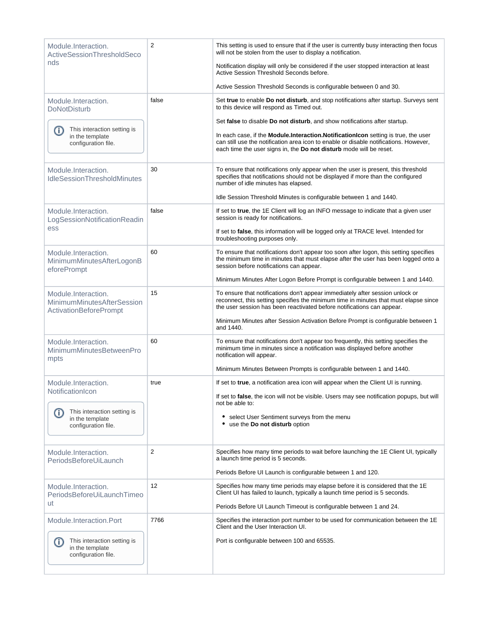| Module.Interaction.<br>ActiveSessionThresholdSeco                           | $\overline{2}$ | This setting is used to ensure that if the user is currently busy interacting then focus<br>will not be stolen from the user to display a notification.                                                                                            |
|-----------------------------------------------------------------------------|----------------|----------------------------------------------------------------------------------------------------------------------------------------------------------------------------------------------------------------------------------------------------|
| nds                                                                         |                | Notification display will only be considered if the user stopped interaction at least<br>Active Session Threshold Seconds before.                                                                                                                  |
|                                                                             |                | Active Session Threshold Seconds is configurable between 0 and 30.                                                                                                                                                                                 |
| Module.Interaction.<br><b>DoNotDisturb</b>                                  | false          | Set true to enable Do not disturb, and stop notifications after startup. Surveys sent<br>to this device will respond as Timed out.                                                                                                                 |
| This interaction setting is                                                 |                | Set false to disable Do not disturb, and show notifications after startup.                                                                                                                                                                         |
| O)<br>in the template<br>configuration file.                                |                | In each case, if the Module.Interaction.NotificationIcon setting is true, the user<br>can still use the notification area icon to enable or disable notifications. However,<br>each time the user signs in, the Do not disturb mode will be reset. |
| Module.Interaction.<br><b>IdleSessionThresholdMinutes</b>                   | 30             | To ensure that notifications only appear when the user is present, this threshold<br>specifies that notifications should not be displayed if more than the configured<br>number of idle minutes has elapsed.                                       |
|                                                                             |                | Idle Session Threshold Minutes is configurable between 1 and 1440.                                                                                                                                                                                 |
| Module.Interaction.<br>LogSessionNotificationReadin                         | false          | If set to true, the 1E Client will log an INFO message to indicate that a given user<br>session is ready for notifications.                                                                                                                        |
| ess                                                                         |                | If set to false, this information will be logged only at TRACE level. Intended for<br>troubleshooting purposes only.                                                                                                                               |
| Module.Interaction.<br>MinimumMinutesAfterLogonB<br>eforePrompt             | 60             | To ensure that notifications don't appear too soon after logon, this setting specifies<br>the minimum time in minutes that must elapse after the user has been logged onto a<br>session before notifications can appear.                           |
|                                                                             |                | Minimum Minutes After Logon Before Prompt is configurable between 1 and 1440.                                                                                                                                                                      |
| Module.Interaction.<br>MinimumMinutesAfterSession<br>ActivationBeforePrompt | 15             | To ensure that notifications don't appear immediately after session unlock or<br>reconnect, this setting specifies the minimum time in minutes that must elapse since<br>the user session has been reactivated before notifications can appear.    |
|                                                                             |                | Minimum Minutes after Session Activation Before Prompt is configurable between 1<br>and 1440.                                                                                                                                                      |
| Module.Interaction.<br>MinimumMinutesBetweenPro<br>mpts                     | 60             | To ensure that notifications don't appear too frequently, this setting specifies the<br>minimum time in minutes since a notification was displayed before another<br>notification will appear.                                                     |
|                                                                             |                | Minimum Minutes Between Prompts is configurable between 1 and 1440.                                                                                                                                                                                |
| Module.Interaction.<br>NotificationIcon                                     | true           | If set to true, a notification area icon will appear when the Client UI is running.<br>If set to false, the icon will not be visible. Users may see notification popups, but will                                                                  |
| This interaction setting is                                                 |                | not be able to:                                                                                                                                                                                                                                    |
| (i)<br>in the template<br>configuration file.                               |                | • select User Sentiment surveys from the menu<br>• use the Do not disturb option                                                                                                                                                                   |
| Module.Interaction.<br>PeriodsBeforeUiLaunch                                | 2              | Specifies how many time periods to wait before launching the 1E Client UI, typically<br>a launch time period is 5 seconds.                                                                                                                         |
|                                                                             |                | Periods Before UI Launch is configurable between 1 and 120.                                                                                                                                                                                        |
| Module.Interaction.<br>PeriodsBeforeUiLaunchTimeo                           | 12             | Specifies how many time periods may elapse before it is considered that the 1E<br>Client UI has failed to launch, typically a launch time period is 5 seconds.                                                                                     |
| ut                                                                          |                | Periods Before UI Launch Timeout is configurable between 1 and 24.                                                                                                                                                                                 |
| Module.Interaction.Port                                                     | 7766           | Specifies the interaction port number to be used for communication between the 1E<br>Client and the User Interaction UI.                                                                                                                           |
| This interaction setting is<br>O)<br>in the template<br>configuration file. |                | Port is configurable between 100 and 65535.                                                                                                                                                                                                        |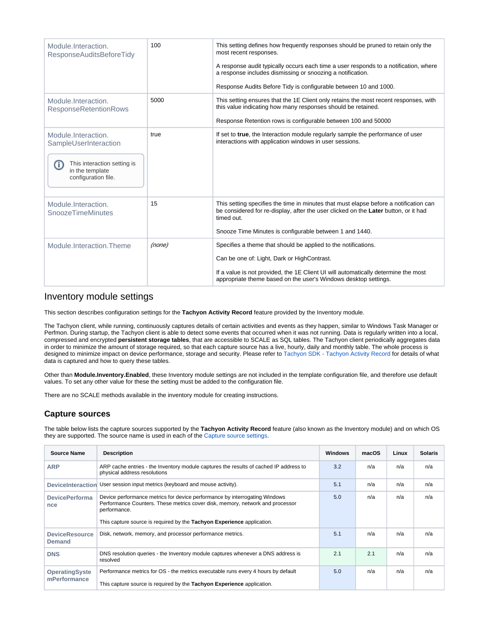| Module Interaction.<br>ResponseAuditsBeforeTidy                                                                             | 100    | This setting defines how frequently responses should be pruned to retain only the<br>most recent responses.<br>A response audit typically occurs each time a user responds to a notification, where<br>a response includes dismissing or snoozing a notification.<br>Response Audits Before Tidy is configurable between 10 and 1000. |
|-----------------------------------------------------------------------------------------------------------------------------|--------|---------------------------------------------------------------------------------------------------------------------------------------------------------------------------------------------------------------------------------------------------------------------------------------------------------------------------------------|
| Module Interaction.<br><b>ResponseRetentionRows</b>                                                                         | 5000   | This setting ensures that the 1E Client only retains the most recent responses, with<br>this value indicating how many responses should be retained.<br>Response Retention rows is configurable between 100 and 50000                                                                                                                 |
| Module.Interaction.<br>SampleUserInteraction<br>This interaction setting is<br>G)<br>in the template<br>configuration file. | true   | If set to true, the Interaction module regularly sample the performance of user<br>interactions with application windows in user sessions.                                                                                                                                                                                            |
| Module.Interaction.<br><b>SnoozeTimeMinutes</b>                                                                             | 15     | This setting specifies the time in minutes that must elapse before a notification can<br>be considered for re-display, after the user clicked on the Later button, or it had<br>timed out.<br>Snooze Time Minutes is configurable between 1 and 1440.                                                                                 |
| Module.Interaction.Theme                                                                                                    | (none) | Specifies a theme that should be applied to the notifications.<br>Can be one of: Light, Dark or HighContrast.<br>If a value is not provided, the 1E Client UI will automatically determine the most<br>appropriate theme based on the user's Windows desktop settings.                                                                |

#### Inventory module settings

This section describes configuration settings for the **Tachyon Activity Record** feature provided by the Inventory module.

The Tachyon client, while running, continuously captures details of certain activities and events as they happen, similar to Windows Task Manager or Perfmon. During startup, the Tachyon client is able to detect some events that occurred when it was not running. Data is regularly written into a local, compressed and encrypted **persistent storage tables**, that are accessible to SCALE as SQL tables. The Tachyon client periodically aggregates data in order to minimize the amount of storage required, so that each capture source has a live, hourly, daily and monthly table. The whole process is designed to minimize impact on device performance, storage and security. Please refer to [Tachyon SDK - Tachyon Activity Record](https://help.1e.com/display/TCNSDK/Tachyon+Activity+Record) for details of what data is captured and how to query these tables.

Other than **Module.Inventory.Enabled**, these Inventory module settings are not included in the template configuration file, and therefore use default values. To set any other value for these the setting must be added to the configuration file.

There are no SCALE methods available in the inventory module for creating instructions.

#### **Capture sources**

<span id="page-9-0"></span>The table below lists the capture sources supported by the **Tachyon Activity Record** feature (also known as the Inventory module) and on which OS they are supported. The source name is used in each of the [Capture source settings.](#page-10-0)

| <b>Source Name</b>                     | <b>Description</b>                                                                                                                                                                                                                                    | Windows | macOS | Linux | <b>Solaris</b> |
|----------------------------------------|-------------------------------------------------------------------------------------------------------------------------------------------------------------------------------------------------------------------------------------------------------|---------|-------|-------|----------------|
| <b>ARP</b>                             | ARP cache entries - the Inventory module captures the results of cached IP address to<br>physical address resolutions                                                                                                                                 | 3.2     | n/a   | n/a   | n/a            |
| <b>DeviceInteraction</b>               | User session input metrics (keyboard and mouse activity).                                                                                                                                                                                             | 5.1     | n/a   | n/a   | n/a            |
| <b>DevicePerforma</b><br>nce           | Device performance metrics for device performance by interrogating Windows<br>Performance Counters. These metrics cover disk, memory, network and processor<br>performance.<br>This capture source is required by the Tachyon Experience application. | 5.0     | n/a   | n/a   | n/a            |
| <b>DeviceResource</b><br><b>Demand</b> | Disk, network, memory, and processor performance metrics.                                                                                                                                                                                             | 5.1     | n/a   | n/a   | n/a            |
| <b>DNS</b>                             | DNS resolution queries - the Inventory module captures whenever a DNS address is<br>resolved                                                                                                                                                          | 2.1     | 2.1   | n/a   | n/a            |
| <b>OperatingSyste</b><br>mPerformance  | Performance metrics for OS - the metrics executable runs every 4 hours by default<br>This capture source is required by the Tachyon Experience application.                                                                                           | 5.0     | n/a   | n/a   | n/a            |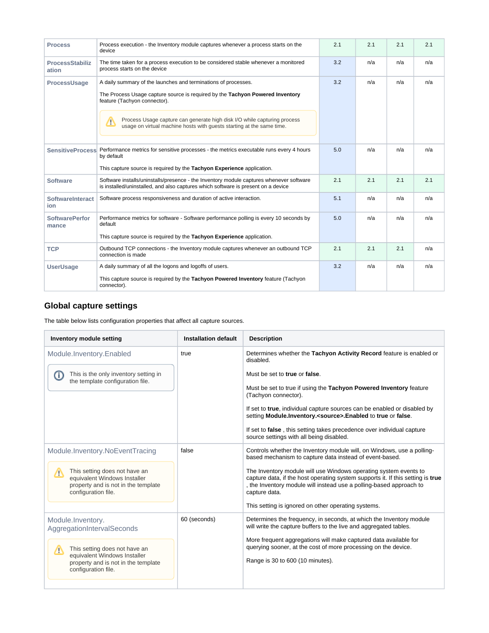| <b>Process</b>                  | Process execution - the Inventory module captures whenever a process starts on the<br>device                                                                                 | 2.1 | 2.1 | 2.1 | 2.1 |
|---------------------------------|------------------------------------------------------------------------------------------------------------------------------------------------------------------------------|-----|-----|-----|-----|
| <b>ProcessStabiliz</b><br>ation | The time taken for a process execution to be considered stable whenever a monitored<br>process starts on the device                                                          | 3.2 | n/a | n/a | n/a |
| ProcessUsage                    | A daily summary of the launches and terminations of processes.                                                                                                               | 3.2 | n/a | n/a | n/a |
|                                 | The Process Usage capture source is required by the Tachyon Powered Inventory<br>feature (Tachyon connector).                                                                |     |     |     |     |
|                                 | Process Usage capture can generate high disk I/O while capturing process<br>Δ<br>usage on virtual machine hosts with quests starting at the same time.                       |     |     |     |     |
|                                 | SensitiveProcess Performance metrics for sensitive processes - the metrics executable runs every 4 hours<br>by default                                                       | 5.0 | n/a | n/a | n/a |
|                                 | This capture source is required by the Tachyon Experience application.                                                                                                       |     |     |     |     |
| <b>Software</b>                 | Software installs/uninstalls/presence - the Inventory module captures whenever software<br>is installed/uninstalled, and also captures which software is present on a device | 2.1 | 2.1 | 2.1 | 2.1 |
| <b>SoftwareInteract</b><br>ion  | Software process responsiveness and duration of active interaction.                                                                                                          | 5.1 | n/a | n/a | n/a |
| <b>SoftwarePerfor</b><br>mance  | Performance metrics for software - Software performance polling is every 10 seconds by<br>default                                                                            | 5.0 | n/a | n/a | n/a |
|                                 | This capture source is required by the Tachyon Experience application.                                                                                                       |     |     |     |     |
| <b>TCP</b>                      | Outbound TCP connections - the Inventory module captures whenever an outbound TCP<br>connection is made                                                                      | 2.1 | 2.1 | 2.1 | n/a |
| <b>UserUsage</b>                | A daily summary of all the logons and logoffs of users.                                                                                                                      | 3.2 | n/a | n/a | n/a |
|                                 | This capture source is required by the Tachyon Powered Inventory feature (Tachyon<br>connector).                                                                             |     |     |     |     |

## **Global capture settings**

The table below lists configuration properties that affect all capture sources.

<span id="page-10-0"></span>

| Inventory module setting                                                                                                         | <b>Installation default</b> | <b>Description</b>                                                                                                                                                                                                                          |
|----------------------------------------------------------------------------------------------------------------------------------|-----------------------------|---------------------------------------------------------------------------------------------------------------------------------------------------------------------------------------------------------------------------------------------|
| Module.Inventory.Enabled                                                                                                         | true                        | Determines whether the Tachyon Activity Record feature is enabled or<br>disabled.                                                                                                                                                           |
| This is the only inventory setting in<br>O<br>the template configuration file.                                                   |                             | Must be set to true or false.                                                                                                                                                                                                               |
|                                                                                                                                  |                             | Must be set to true if using the Tachyon Powered Inventory feature<br>(Tachyon connector).                                                                                                                                                  |
|                                                                                                                                  |                             | If set to true, individual capture sources can be enabled or disabled by<br>setting Module.Inventory. <source/> .Enabled to true or false.                                                                                                  |
|                                                                                                                                  |                             | If set to false, this setting takes precedence over individual capture<br>source settings with all being disabled.                                                                                                                          |
| Module.Inventory.NoEventTracing                                                                                                  | false                       | Controls whether the Inventory module will, on Windows, use a polling-<br>based mechanism to capture data instead of event-based.                                                                                                           |
| This setting does not have an<br>Λ<br>equivalent Windows Installer<br>property and is not in the template<br>configuration file. |                             | The Inventory module will use Windows operating system events to<br>capture data, if the host operating system supports it. If this setting is true<br>, the Inventory module will instead use a polling-based approach to<br>capture data. |
|                                                                                                                                  |                             | This setting is ignored on other operating systems.                                                                                                                                                                                         |
| Module.Inventory.<br>AggregationIntervalSeconds                                                                                  | 60 (seconds)                | Determines the frequency, in seconds, at which the Inventory module<br>will write the capture buffers to the live and aggregated tables.                                                                                                    |
| This setting does not have an<br>Λ<br>equivalent Windows Installer<br>property and is not in the template<br>configuration file. |                             | More frequent aggregations will make captured data available for<br>querying sooner, at the cost of more processing on the device.                                                                                                          |
|                                                                                                                                  |                             | Range is 30 to 600 (10 minutes).                                                                                                                                                                                                            |
|                                                                                                                                  |                             |                                                                                                                                                                                                                                             |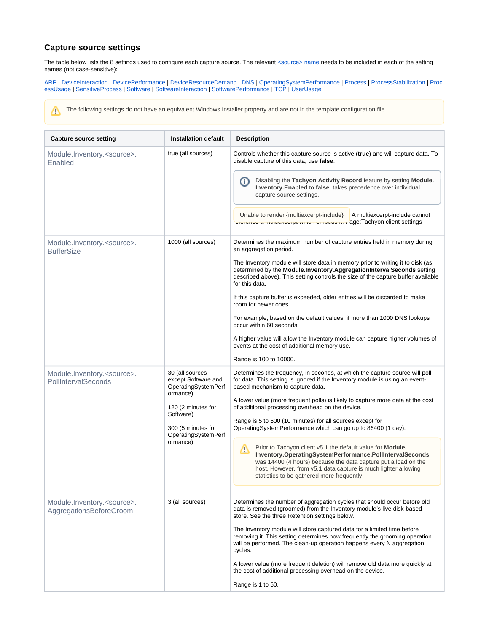### **Capture source settings**

The table below lists the 8 settings used to configure each capture source. The relevant [<source> name](#page-9-0) needs to be included in each of the setting names (not case-sensitive):

[ARP](https://help.1e.com/display/1EC51/Tachyon+client+settings#Tachyonclientsettings-ARP) | [DeviceInteraction](https://help.1e.com/display/1EC51/Tachyon+client+settings#Tachyonclientsettings-DeviceInteraction) | [DevicePerformance](https://help.1e.com/display/1EC51/Tachyon+client+settings#Tachyonclientsettings-DevicePerformance) | [DeviceResourceDemand](https://help.1e.com/display/1EC51/Tachyon+client+settings#Tachyonclientsettings-DeviceResourceDemand) | [DNS](https://help.1e.com/display/1EC51/Tachyon+client+settings#Tachyonclientsettings-DNS) | [OperatingSystemPerformance](https://help.1e.com/display/1EC51/Tachyon+client+settings#Tachyonclientsettings-OperatingSystemPerformance) | [Process](https://help.1e.com/display/1EC51/Tachyon+client+settings#Tachyonclientsettings-Process) | [ProcessStabilization](https://help.1e.com/display/1EC51/Tachyon+client+settings#Tachyonclientsettings-ProcessStabilization) | [Proc](https://help.1e.com/display/1EC51/Tachyon+client+settings#Tachyonclientsettings-ProcessUsage) [essUsage](https://help.1e.com/display/1EC51/Tachyon+client+settings#Tachyonclientsettings-ProcessUsage) | [SensitiveProcess](https://help.1e.com/display/1EC51/Tachyon+client+settings#Tachyonclientsettings-SensitiveProcess) | [Software](https://help.1e.com/display/1EC51/Tachyon+client+settings#Tachyonclientsettings-Software) | [SoftwareInteraction](https://help.1e.com/display/1EC51/Tachyon+client+settings#Tachyonclientsettings-SoftwareInteraction) | [SoftwarePerformance](https://help.1e.com/display/1EC51/Tachyon+client+settings#Tachyonclientsettings-SoftwarePerformance) | [TCP](https://help.1e.com/display/1EC51/Tachyon+client+settings#Tachyonclientsettings-TCP) | [UserUsage](https://help.1e.com/display/1EC51/Tachyon+client+settings#Tachyonclientsettings-UserUsage)

The following settings do not have an equivalent Windows Installer property and are not in the template configuration file. Λ

| <b>Capture source setting</b>                            | <b>Installation default</b>                                                                                                                                           | <b>Description</b>                                                                                                                                                                                                                                                                                                                                                                                                                                                                                                                                                                                                                                                                                                                                                                         |
|----------------------------------------------------------|-----------------------------------------------------------------------------------------------------------------------------------------------------------------------|--------------------------------------------------------------------------------------------------------------------------------------------------------------------------------------------------------------------------------------------------------------------------------------------------------------------------------------------------------------------------------------------------------------------------------------------------------------------------------------------------------------------------------------------------------------------------------------------------------------------------------------------------------------------------------------------------------------------------------------------------------------------------------------------|
| Module.Inventory. <source/> .<br>Enabled                 | true (all sources)                                                                                                                                                    | Controls whether this capture source is active (true) and will capture data. To<br>disable capture of this data, use false.<br>Disabling the Tachyon Activity Record feature by setting Module.<br>⋒<br>Inventory. Enabled to false, takes precedence over individual<br>capture source settings.<br>Unable to render {multiexcerpt-include}<br>A multiexcerpt-include cannot<br>busines a manuscusipe winen empeas in rage:Tachyon client settings                                                                                                                                                                                                                                                                                                                                        |
| Module.Inventory. <source/> .<br><b>BufferSize</b>       | 1000 (all sources)                                                                                                                                                    | Determines the maximum number of capture entries held in memory during<br>an aggregation period.<br>The Inventory module will store data in memory prior to writing it to disk (as<br>determined by the Module.Inventory.AggregationIntervalSeconds setting<br>described above). This setting controls the size of the capture buffer available<br>for this data.<br>If this capture buffer is exceeded, older entries will be discarded to make<br>room for newer ones.<br>For example, based on the default values, if more than 1000 DNS lookups<br>occur within 60 seconds.<br>A higher value will allow the Inventory module can capture higher volumes of<br>events at the cost of additional memory use.<br>Range is 100 to 10000.                                                  |
| Module.Inventory. <source/> .<br>PollIntervalSeconds     | 30 (all sources<br>except Software and<br>OperatingSystemPerf<br>ormance)<br>120 (2 minutes for<br>Software)<br>300 (5 minutes for<br>OperatingSystemPerf<br>ormance) | Determines the frequency, in seconds, at which the capture source will poll<br>for data. This setting is ignored if the Inventory module is using an event-<br>based mechanism to capture data.<br>A lower value (more frequent polls) is likely to capture more data at the cost<br>of additional processing overhead on the device.<br>Range is 5 to 600 (10 minutes) for all sources except for<br>OperatingSystemPerformance which can go up to 86400 (1 day).<br>Prior to Tachyon client v5.1 the default value for <b>Module.</b><br>Δ<br>Inventory.OperatingSystemPerformance.PollIntervalSeconds<br>was 14400 (4 hours) because the data capture put a load on the<br>host. However, from v5.1 data capture is much lighter allowing<br>statistics to be gathered more frequently. |
| Module.Inventory. <source/> .<br>AggregationsBeforeGroom | 3 (all sources)                                                                                                                                                       | Determines the number of aggregation cycles that should occur before old<br>data is removed (groomed) from the Inventory module's live disk-based<br>store. See the three Retention settings below.<br>The Inventory module will store captured data for a limited time before<br>removing it. This setting determines how frequently the grooming operation<br>will be performed. The clean-up operation happens every N aggregation<br>cycles.<br>A lower value (more frequent deletion) will remove old data more quickly at<br>the cost of additional processing overhead on the device.<br>Range is 1 to 50.                                                                                                                                                                          |